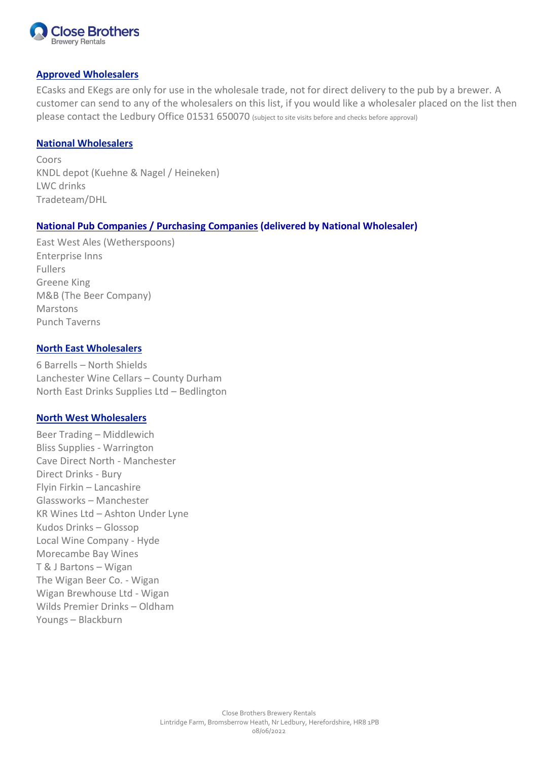

# **Approved Wholesalers**

ECasks and EKegs are only for use in the wholesale trade, not for direct delivery to the pub by a brewer. A customer can send to any of the wholesalers on this list, if you would like a wholesaler placed on the list then please contact the Ledbury Office 01531 650070 (subject to site visits before and checks before approval)

#### **National Wholesalers**

Coors KNDL depot (Kuehne & Nagel / Heineken) LWC drinks Tradeteam/DHL

## **National Pub Companies / Purchasing Companies (delivered by National Wholesaler)**

East West Ales (Wetherspoons) Enterprise Inns Fullers Greene King M&B (The Beer Company) Marstons Punch Taverns

## **North East Wholesalers**

6 Barrells – North Shields Lanchester Wine Cellars – County Durham North East Drinks Supplies Ltd – Bedlington

## **North West Wholesalers**

Beer Trading – Middlewich Bliss Supplies - Warrington Cave Direct North - Manchester Direct Drinks - Bury Flyin Firkin – Lancashire Glassworks – Manchester KR Wines Ltd – Ashton Under Lyne Kudos Drinks – Glossop Local Wine Company - Hyde Morecambe Bay Wines T & J Bartons – Wigan The Wigan Beer Co. - Wigan Wigan Brewhouse Ltd - Wigan Wilds Premier Drinks – Oldham Youngs – Blackburn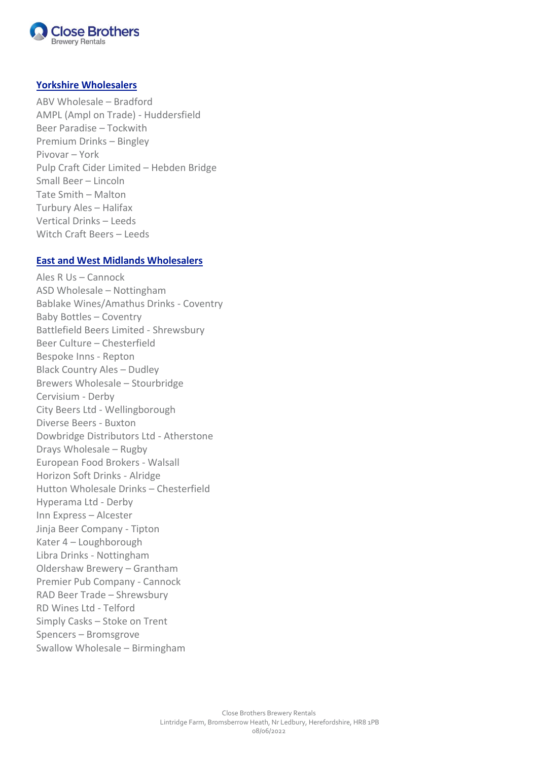

#### **Yorkshire Wholesalers**

ABV Wholesale – Bradford AMPL (Ampl on Trade) - Huddersfield Beer Paradise – Tockwith Premium Drinks – Bingley Pivovar – York Pulp Craft Cider Limited – Hebden Bridge Small Beer – Lincoln Tate Smith – Malton Turbury Ales – Halifax Vertical Drinks – Leeds Witch Craft Beers – Leeds

#### **East and West Midlands Wholesalers**

Ales R Us – Cannock ASD Wholesale – Nottingham Bablake Wines/Amathus Drinks - Coventry Baby Bottles – Coventry Battlefield Beers Limited - Shrewsbury Beer Culture – Chesterfield Bespoke Inns - Repton Black Country Ales – Dudley Brewers Wholesale – Stourbridge Cervisium - Derby City Beers Ltd - Wellingborough Diverse Beers - Buxton Dowbridge Distributors Ltd - Atherstone Drays Wholesale – Rugby European Food Brokers - Walsall Horizon Soft Drinks - Alridge Hutton Wholesale Drinks – Chesterfield Hyperama Ltd - Derby Inn Express – Alcester Jinja Beer Company - Tipton Kater 4 – Loughborough Libra Drinks - Nottingham Oldershaw Brewery – Grantham Premier Pub Company - Cannock RAD Beer Trade – Shrewsbury RD Wines Ltd - Telford Simply Casks – Stoke on Trent Spencers – Bromsgrove Swallow Wholesale – Birmingham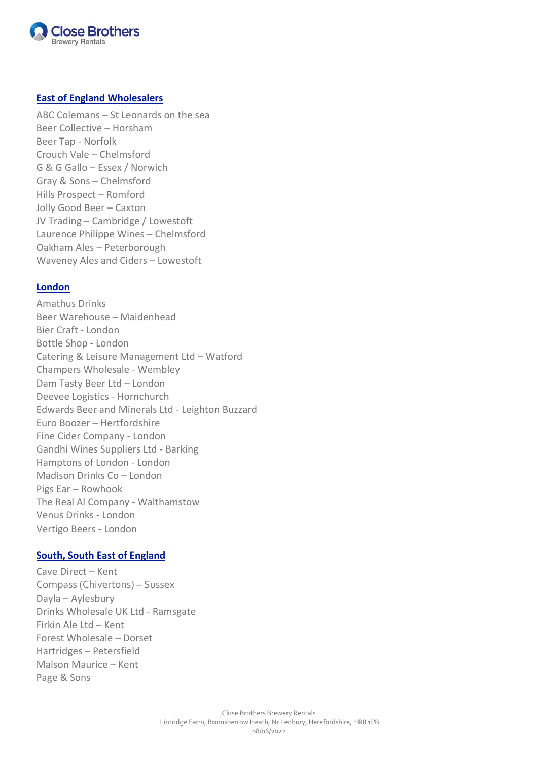

## **East of England Wholesalers**

ABC Colemans – St Leonards on the sea Beer Collective – Horsham Beer Tap - Norfolk Crouch Vale – Chelmsford G & G Gallo – Essex / Norwich Gray & Sons – Chelmsford Hills Prospect – Romford Jolly Good Beer – Caxton JV Trading – Cambridge / Lowestoft Laurence Philippe Wines – Chelmsford Oakham Ales – Peterborough Waveney Ales and Ciders – Lowestoft

#### **London**

Amathus Drinks Beer Warehouse – Maidenhead Bier Craft - London Bottle Shop - London Catering & Leisure Management Ltd – Watford Champers Wholesale - Wembley Dam Tasty Beer Ltd – London Deevee Logistics - Hornchurch Edwards Beer and Minerals Ltd - Leighton Buzzard Euro Boozer – Hertfordshire Fine Cider Company - London Gandhi Wines Suppliers Ltd - Barking Hamptons of London - London Madison Drinks Co – London Pigs Ear – Rowhook The Real Al Company - Walthamstow Venus Drinks - London Vertigo Beers - London

## **South, South East of England**

Cave Direct – Kent Compass (Chivertons) – Sussex Dayla – Aylesbury Drinks Wholesale UK Ltd - Ramsgate Firkin Ale Ltd – Kent Forest Wholesale – Dorset Hartridges – Petersfield Maison Maurice – Kent Page & Sons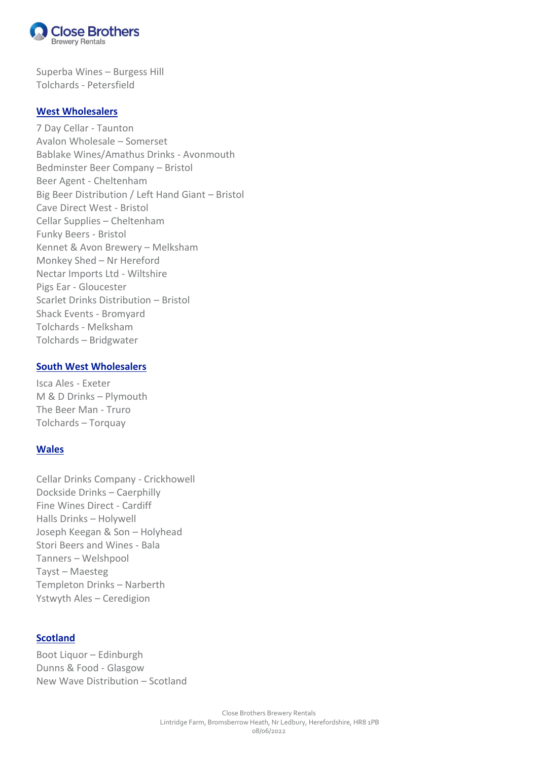

Superba Wines – Burgess Hill Tolchards - Petersfield

#### **West Wholesalers**

7 Day Cellar - Taunton Avalon Wholesale – Somerset Bablake Wines/Amathus Drinks - Avonmouth Bedminster Beer Company – Bristol Beer Agent - Cheltenham Big Beer Distribution / Left Hand Giant – Bristol Cave Direct West - Bristol Cellar Supplies – Cheltenham Funky Beers - Bristol Kennet & Avon Brewery – Melksham Monkey Shed – Nr Hereford Nectar Imports Ltd - Wiltshire Pigs Ear - Gloucester Scarlet Drinks Distribution – Bristol Shack Events - Bromyard Tolchards - Melksham Tolchards – Bridgwater

## **South West Wholesalers**

Isca Ales - Exeter M & D Drinks – Plymouth The Beer Man - Truro Tolchards – Torquay

## **Wales**

Cellar Drinks Company - Crickhowell Dockside Drinks – Caerphilly Fine Wines Direct - Cardiff Halls Drinks – Holywell Joseph Keegan & Son – Holyhead Stori Beers and Wines - Bala Tanners – Welshpool Tayst – Maesteg Templeton Drinks – Narberth Ystwyth Ales – Ceredigion

# **Scotland**

Boot Liquor – Edinburgh Dunns & Food - Glasgow New Wave Distribution – Scotland